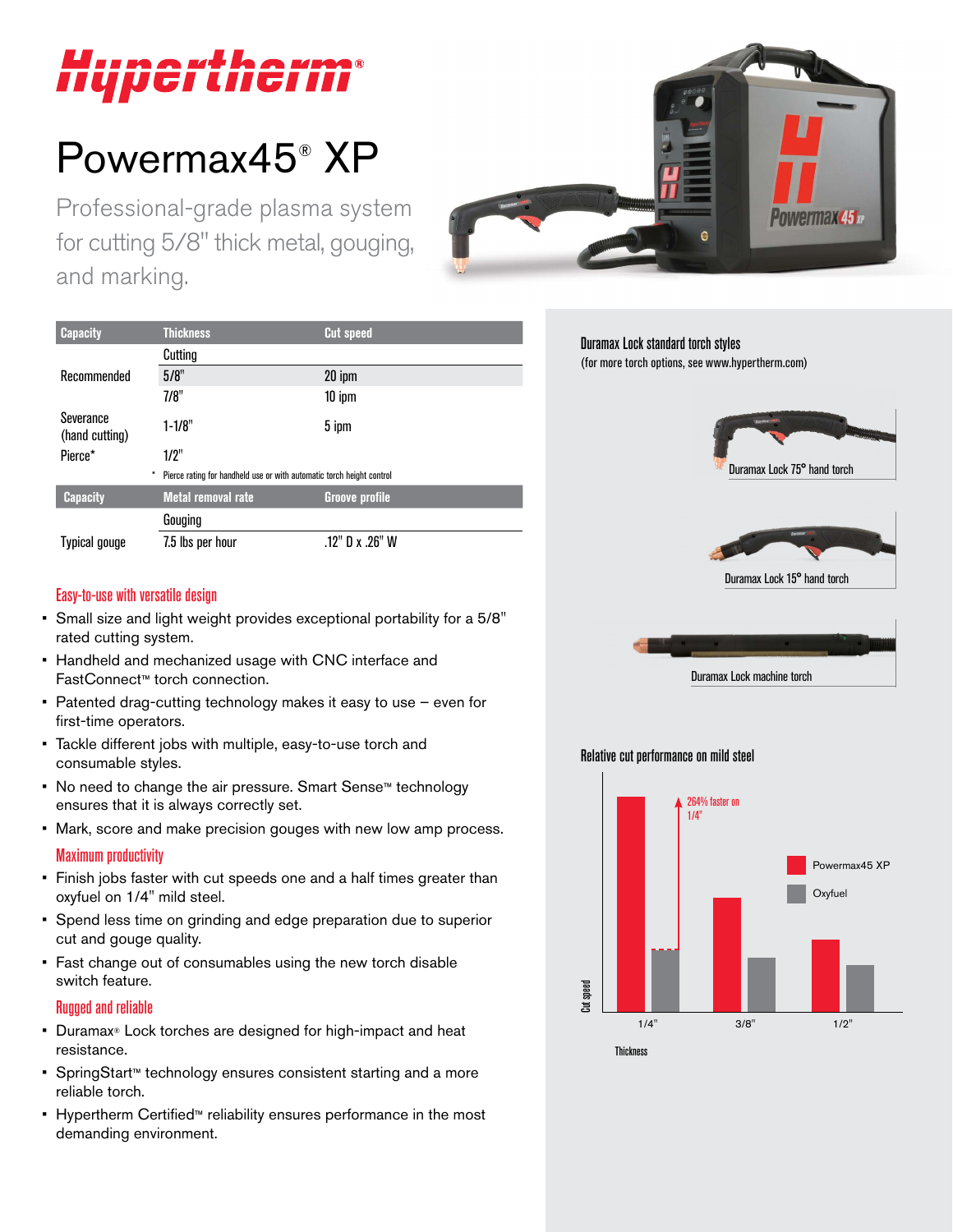# *Uupertherm®*

# Powermax45® XP

Professional-grade plasma system for cutting 5/8" thick metal, gouging, and marking.



| <b>Capacity</b>             | <b>Thickness</b>                                                      | <b>Cut speed</b>      |
|-----------------------------|-----------------------------------------------------------------------|-----------------------|
|                             | Cutting                                                               |                       |
| Recommended                 | 5/8"                                                                  | 20 ipm                |
|                             | 7/8"                                                                  | $10$ ipm              |
| Severance<br>(hand cutting) | $1 - 1/8"$                                                            | 5 ipm                 |
| Pierce*                     | 1/2"                                                                  |                       |
| *                           | Pierce rating for handheld use or with automatic torch height control |                       |
| <b>Capacity</b>             | <b>Metal removal rate</b>                                             | <b>Groove profile</b> |
|                             | Gouging                                                               |                       |
| Typical gouge               | 7.5 lbs per hour                                                      | .12" D x .26" W       |

### Duramax Lock standard torch styles

(for more torch options, see www.hypertherm.com)



Duramax Lock 15° hand torch



#### Relative cut performance on mild steel



#### Easy-to-use with versatile design

- Small size and light weight provides exceptional portability for a 5/8" rated cutting system.
- Handheld and mechanized usage with CNC interface and FastConnect™ torch connection.
- Patented drag-cutting technology makes it easy to use even for first-time operators.
- Tackle different jobs with multiple, easy-to-use torch and consumable styles.
- No need to change the air pressure. Smart Sense™ technology ensures that it is always correctly set.
- Mark, score and make precision gouges with new low amp process.

#### Maximum productivity

- Finish jobs faster with cut speeds one and a half times greater than oxyfuel on 1/4" mild steel.
- Spend less time on grinding and edge preparation due to superior cut and gouge quality.
- Fast change out of consumables using the new torch disable switch feature.

#### Rugged and reliable

- Duramax® Lock torches are designed for high-impact and heat resistance.
- SpringStart™ technology ensures consistent starting and a more reliable torch.
- Hypertherm Certified™ reliability ensures performance in the most demanding environment.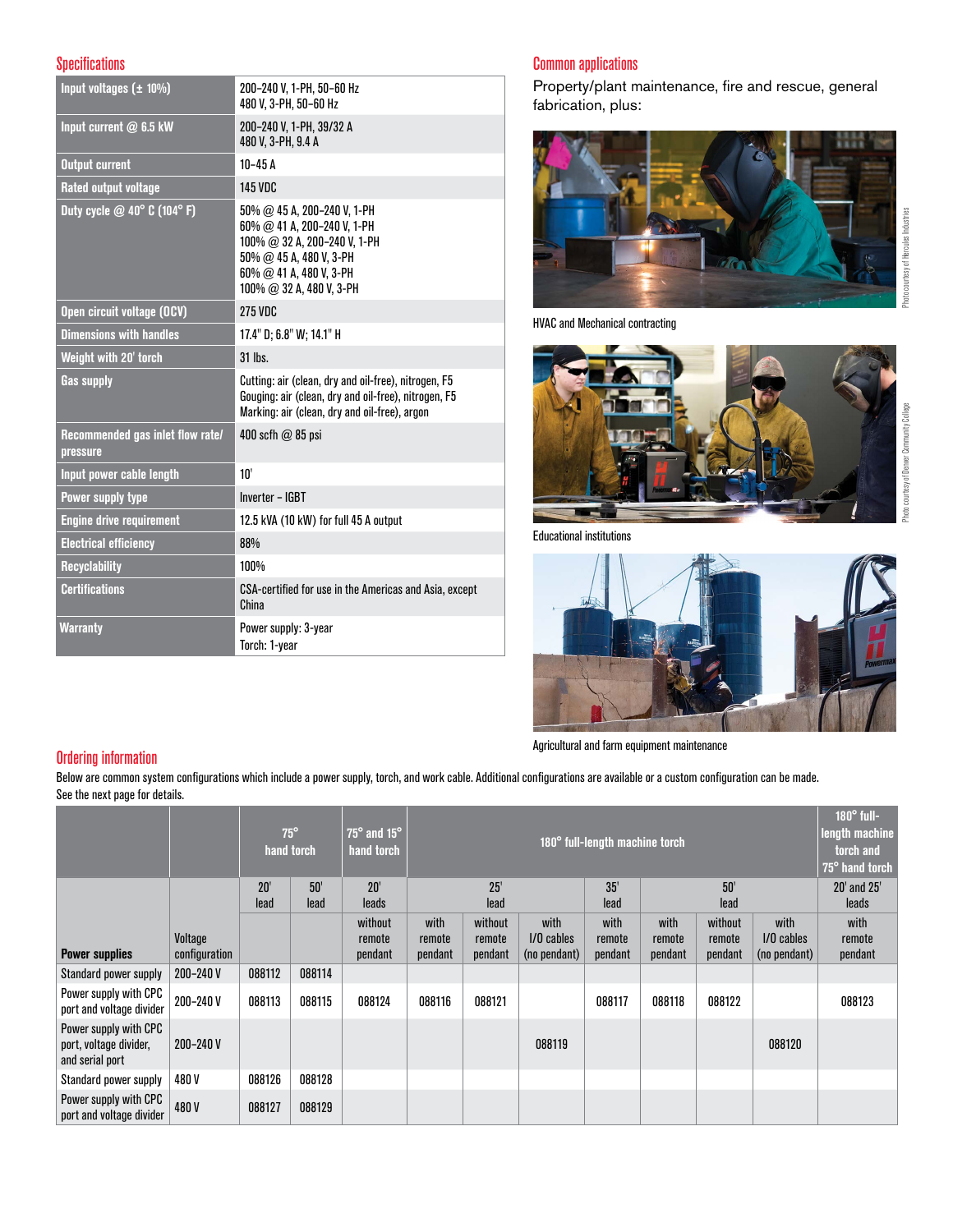#### **Specifications**

| Input voltages $(\pm 10\%)$                       | 200-240 V, 1-PH, 50-60 Hz<br>480 V. 3-PH, 50-60 Hz                                                                                                                                 |
|---------------------------------------------------|------------------------------------------------------------------------------------------------------------------------------------------------------------------------------------|
| Input current @ 6.5 kW                            | 200-240 V, 1-PH, 39/32 A<br>480 V, 3-PH, 9.4 A                                                                                                                                     |
| <b>Output current</b>                             | $10-45A$                                                                                                                                                                           |
| <b>Rated output voltage</b>                       | <b>145 VDC</b>                                                                                                                                                                     |
| Duty cycle $@$ 40 $^{\circ}$ C (104 $^{\circ}$ F) | $50\%$ @ 45 A, 200-240 V, 1-PH<br>60% @ 41 A, 200-240 V, 1-PH<br>100% @ 32 A, 200-240 V, 1-PH<br>$50\%$ @ 45 A, 480 V, 3-PH<br>60% @ 41 A, 480 V, 3-PH<br>100% @ 32 A, 480 V, 3-PH |
| Open circuit voltage (OCV)                        | <b>275 VDC</b>                                                                                                                                                                     |
| <b>Dimensions with handles</b>                    | 17.4" D; 6.8" W; 14.1" H                                                                                                                                                           |
| Weight with 20' torch                             | 31 lhs.                                                                                                                                                                            |
| <b>Gas supply</b>                                 | Cutting: air (clean, dry and oil-free), nitrogen, F5<br>Gouging: air (clean, dry and oil-free), nitrogen, F5<br>Marking: air (clean, dry and oil-free), argon                      |
| Recommended gas inlet flow rate/<br>pressure      | 400 scfh $\omega$ 85 psi                                                                                                                                                           |
| Input power cable length                          | 10'                                                                                                                                                                                |
| Power supply type                                 | <b>Inverter - IGBT</b>                                                                                                                                                             |
| <b>Engine drive requirement</b>                   | 12.5 kVA (10 kW) for full 45 A output                                                                                                                                              |
| <b>Electrical efficiency</b>                      | 88%                                                                                                                                                                                |
| <b>Recyclability</b>                              | 100%                                                                                                                                                                               |
| <b>Certifications</b>                             | CSA-certified for use in the Americas and Asia, except<br>China                                                                                                                    |
| <b>Warranty</b>                                   | Power supply: 3-year<br>Torch: 1-year                                                                                                                                              |

#### Common applications

Property/plant maintenance, fire and rescue, general fabrication, plus:



HVAC and Mechanical contracting



Educational institutions



Agricultural and farm equipment maintenance

#### Ordering information

Below are common system configurations which include a power supply, torch, and work cable. Additional configurations are available or a custom configuration can be made. See the next page for details.

|                                                                    |                          |             | $75^\circ$<br>hand torch | $75^\circ$ and $15^\circ$<br>hand torch |                           | 180° full-length machine torch |                                      |                           | $180^\circ$ full-<br>length machine<br>torch and<br>75° hand torch |                              |                                      |                           |
|--------------------------------------------------------------------|--------------------------|-------------|--------------------------|-----------------------------------------|---------------------------|--------------------------------|--------------------------------------|---------------------------|--------------------------------------------------------------------|------------------------------|--------------------------------------|---------------------------|
|                                                                    |                          | 20'<br>lead | 50'<br>lead              | 20'<br>leads                            |                           | 25'<br>lead                    |                                      | 35'<br>lead               |                                                                    | 50'<br>lead                  |                                      | 20' and 25'<br>leads      |
| <b>Power supplies</b>                                              | Voltage<br>configuration |             |                          | without<br>remote<br>pendant            | with<br>remote<br>pendant | without<br>remote<br>pendant   | with<br>$1/0$ cables<br>(no pendant) | with<br>remote<br>pendant | with<br>remote<br>pendant                                          | without<br>remote<br>pendant | with<br>$1/0$ cables<br>(no pendant) | with<br>remote<br>pendant |
| Standard power supply                                              | 200-240 V                | 088112      | 088114                   |                                         |                           |                                |                                      |                           |                                                                    |                              |                                      |                           |
| Power supply with CPC<br>port and voltage divider                  | 200-240 V                | 088113      | 088115                   | 088124                                  | 088116                    | 088121                         |                                      | 088117                    | 088118                                                             | 088122                       |                                      | 088123                    |
| Power supply with CPC<br>port, voltage divider,<br>and serial port | 200-240 V                |             |                          |                                         |                           |                                | 088119                               |                           |                                                                    |                              | 088120                               |                           |
| Standard power supply                                              | 480 V                    | 088126      | 088128                   |                                         |                           |                                |                                      |                           |                                                                    |                              |                                      |                           |
| Power supply with CPC<br>port and voltage divider                  | 480V                     | 088127      | 088129                   |                                         |                           |                                |                                      |                           |                                                                    |                              |                                      |                           |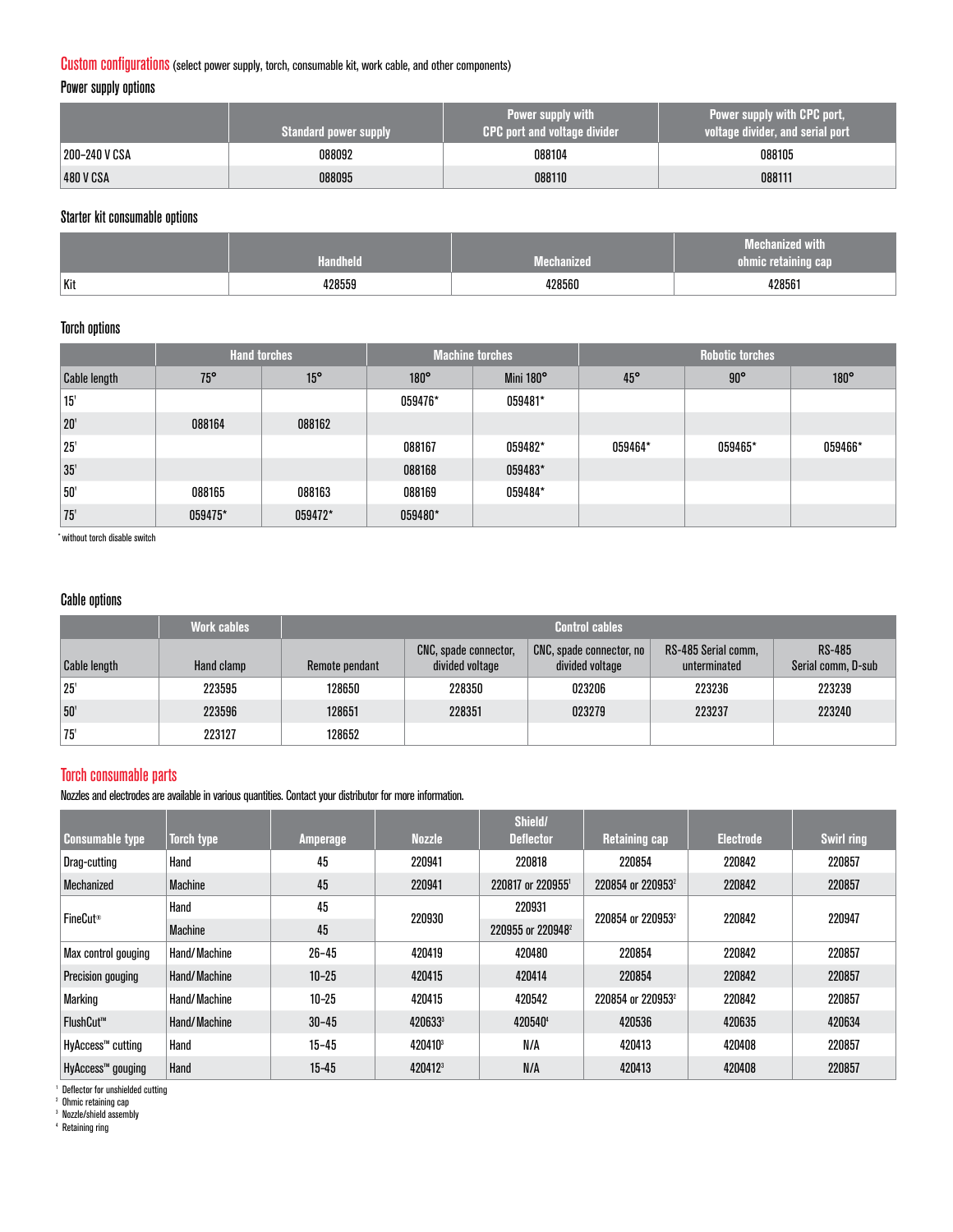#### Custom configurations(select power supply, torch, consumable kit, work cable, and other components)

Power supply options

|               | <b>Standard power supply</b> | <b>Power supply with</b><br><b>CPC port and voltage divider</b> | Power supply with CPC port,<br>voltage divider, and serial port |  |  |
|---------------|------------------------------|-----------------------------------------------------------------|-----------------------------------------------------------------|--|--|
| 200-240 V CSA | 088092                       | 088104                                                          | 088105                                                          |  |  |
| 480 V CSA     | 088095                       | 088110                                                          | 088111                                                          |  |  |

#### Starter kit consumable options

|     | Handheld | Mechanized | <b>Mechanized with</b><br>ohmic retaining cap |
|-----|----------|------------|-----------------------------------------------|
| Kit | 428559   | 428560     | 428561                                        |

#### Torch options

|                     | <b>Hand torches</b> |              |             | <b>Machine torches</b> | <b>Robotic torches</b> |            |             |  |
|---------------------|---------------------|--------------|-------------|------------------------|------------------------|------------|-------------|--|
| <b>Cable length</b> | $75^{\circ}$        | $15^{\circ}$ | $180^\circ$ | Mini 180°              | $45^{\circ}$           | $90^\circ$ | $180^\circ$ |  |
| 15'                 |                     |              | 059476*     | 059481*                |                        |            |             |  |
| 20'                 | 088164              | 088162       |             |                        |                        |            |             |  |
| 25'                 |                     |              | 088167      | 059482*                | 059464*                | 059465*    | 059466*     |  |
| 35'                 |                     |              | 088168      | 059483*                |                        |            |             |  |
| 50'                 | 088165              | 088163       | 088169      | 059484*                |                        |            |             |  |
| 75                  | 059475*             | 059472*      | 059480*     |                        |                        |            |             |  |

\* without torch disable switch

#### Cable options

|                     | <b>Work cables</b> | <b>Control cables</b> |                                                 |                                                 |                                     |                                     |  |  |
|---------------------|--------------------|-----------------------|-------------------------------------------------|-------------------------------------------------|-------------------------------------|-------------------------------------|--|--|
| <b>Cable length</b> | Hand clamp         | Remote pendant        | <b>CNC, spade connector,</b><br>divided voltage | / CNC, spade connector, no /<br>divided voltage | RS-485 Serial comm,<br>unterminated | <b>RS-485</b><br>Serial comm, D-sub |  |  |
| 25'                 | 223595             | 128650                | 228350                                          | 023206                                          | 223236                              | 223239                              |  |  |
| 50'                 | 223596             | 128651                | 228351                                          | 023279                                          | 223237                              | 223240                              |  |  |
| 75'                 | 223127             | 128652                |                                                 |                                                 |                                     |                                     |  |  |

#### Torch consumable parts

Nozzles and electrodes are available in various quantities. Contact your distributor for more information.

| <b>Consumable type</b>   | Torch type     | Amperage  | <b>Nozzle</b>       | Shield/<br><b>Deflector</b>   | <b>Retaining cap</b>          | <b>Electrode</b> | <b>Swirl ring</b> |
|--------------------------|----------------|-----------|---------------------|-------------------------------|-------------------------------|------------------|-------------------|
| Drag-cutting             | Hand           | 45        | 220941              | 220818                        | 220854                        | 220842           | 220857            |
| Mechanized               | <b>Machine</b> | 45        | 220941              | 220817 or 2209551             | 220854 or 220953 <sup>2</sup> | 220842           | 220857            |
| <b>FineCut®</b>          | Hand           | 45        | 220930              | 220931                        | 220854 or 220953 <sup>2</sup> | 220842           | 220947            |
|                          | <b>Machine</b> | 45        |                     | 220955 or 220948 <sup>2</sup> |                               |                  |                   |
| Max control gouging      | Hand/Machine   | $26 - 45$ | 420419              | 420480                        | 220854                        | 220842           | 220857            |
| <b>Precision gouging</b> | Hand/Machine   | $10 - 25$ | 420415              | 420414                        | 220854                        | 220842           | 220857            |
| <b>Marking</b>           | Hand/Machine   | $10 - 25$ | 420415              | 420542                        | 220854 or 220953 <sup>2</sup> | 220842           | 220857            |
| FlushCut™                | Hand/Machine   | $30 - 45$ | 420633              | 4205404                       | 420536                        | 420635           | 420634            |
| HyAccess™ cutting        | Hand           | $15 - 45$ | 420410 <sup>3</sup> | N/A                           | 420413                        | 420408           | 220857            |
| HyAccess™ gouging        | Hand           | $15 - 45$ | 420412 <sup>3</sup> | N/A                           | 420413                        | 420408           | 220857            |

1 Deflector for unshielded cutting

2 Ohmic retaining cap 3 Nozzle/shield assembly 4 Retaining ring